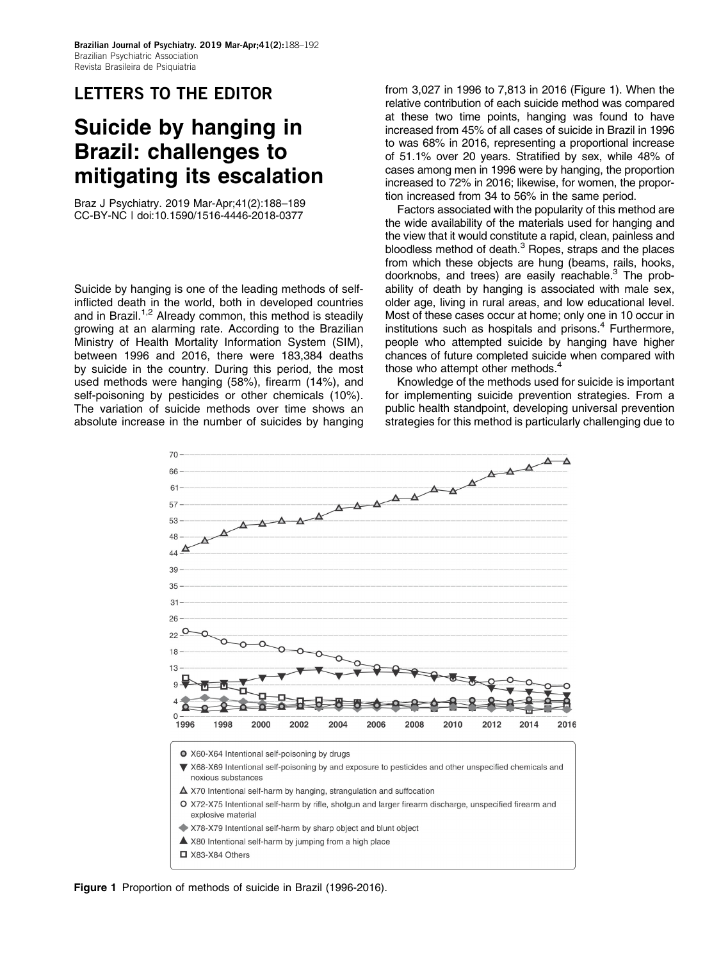### LETTERS TO THE EDITOR

# Suicide by hanging in Brazil: challenges to mitigating its escalation

Braz J Psychiatry. 2019 Mar-Apr;41(2):188–189 CC-BY-NC | doi:[10.1590/1516-4446-2018-0377](http://dx.doi.org/10.1590/1516-4446-2018-0377)

Suicide by hanging is one of the leading methods of selfinflicted death in the world, both in developed countries and in Brazil.<sup>1,2</sup> Already common, this method is steadily growing at an alarming rate. According to the Brazilian Ministry of Health Mortality Information System (SIM), between 1996 and 2016, there were 183,384 deaths by suicide in the country. During this period, the most used methods were hanging (58%), firearm (14%), and self-poisoning by pesticides or other chemicals (10%). The variation of suicide methods over time shows an absolute increase in the number of suicides by hanging from 3,027 in 1996 to 7,813 in 2016 (Figure 1). When the relative contribution of each suicide method was compared at these two time points, hanging was found to have increased from 45% of all cases of suicide in Brazil in 1996 to was 68% in 2016, representing a proportional increase of 51.1% over 20 years. Stratified by sex, while 48% of cases among men in 1996 were by hanging, the proportion increased to 72% in 2016; likewise, for women, the proportion increased from 34 to 56% in the same period.

Factors associated with the popularity of this method are the wide availability of the materials used for hanging and the view that it would constitute a rapid, clean, painless and bloodless method of death.3 Ropes, straps and the places from which these objects are hung (beams, rails, hooks, doorknobs, and trees) are easily reachable. $3$  The probability of death by hanging is associated with male sex, older age, living in rural areas, and low educational level. Most of these cases occur at home; only one in 10 occur in institutions such as hospitals and prisons.<sup>4</sup> Furthermore, people who attempted suicide by hanging have higher chances of future completed suicide when compared with those who attempt other methods.<sup>4</sup>

Knowledge of the methods used for suicide is important for implementing suicide prevention strategies. From a public health standpoint, developing universal prevention strategies for this method is particularly challenging due to



Figure 1 Proportion of methods of suicide in Brazil (1996-2016).